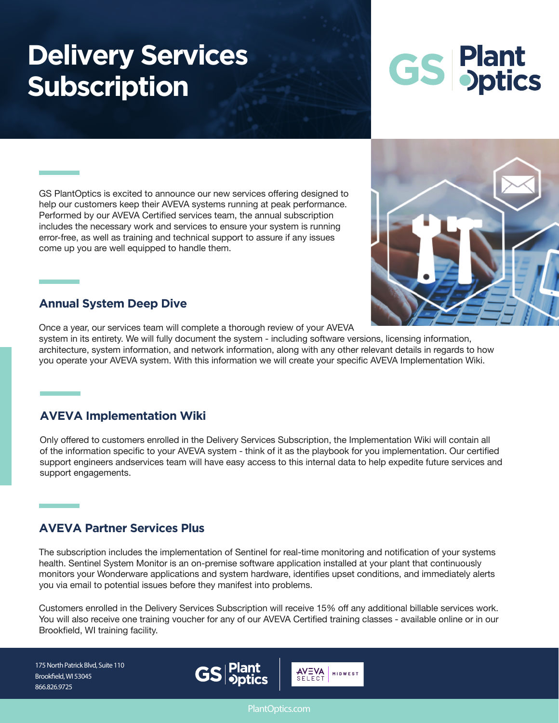# **Delivery Services Subscription**

# **GS Plant**<br>**OS** pptics

GS PlantOptics is excited to announce our new services offering designed to help our customers keep their AVEVA systems running at peak performance. Performed by our AVEVA Certified services team, the annual subscription includes the necessary work and services to ensure your system is running error-free, as well as training and technical support to assure if any issues come up you are well equipped to handle them.



#### **Annual System Deep Dive**

Once a year, our services team will complete a thorough review of your AVEVA

system in its entirety. We will fully document the system - including software versions, licensing information, architecture, system information, and network information, along with any other relevant details in regards to how you operate your AVEVA system. With this information we will create your specific AVEVA Implementation Wiki.

# **AVEVA Implementation Wiki**

Only offered to customers enrolled in the Delivery Services Subscription, the Implementation Wiki will contain all of the information specific to your AVEVA system - think of it as the playbook for you implementation. Our certified support engineers andservices team will have easy access to this internal data to help expedite future services and support engagements.

# **AVEVA Partner Services Plus**

The subscription includes the implementation of Sentinel for real-time monitoring and notification of your systems health. Sentinel System Monitor is an on-premise software application installed at your plant that continuously monitors your Wonderware applications and system hardware, identifies upset conditions, and immediately alerts you via email to potential issues before they manifest into problems.

Customers enrolled in the Delivery Services Subscription will receive 15% off any additional billable services work. You will also receive one training voucher for any of our AVEVA Certified training classes - available online or in our Brookfield, WI training facility.

175 North Patrick Blvd, Suite 110 Brookfield, WI 53045 866.826.9725



PlantOptics.com